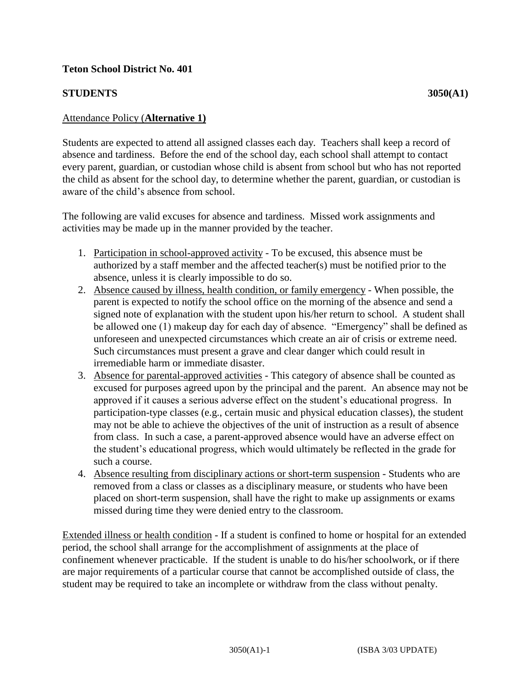## **STUDENTS** 3050(A1)

## Attendance Policy (**Alternative 1)**

Students are expected to attend all assigned classes each day. Teachers shall keep a record of absence and tardiness. Before the end of the school day, each school shall attempt to contact every parent, guardian, or custodian whose child is absent from school but who has not reported the child as absent for the school day, to determine whether the parent, guardian, or custodian is aware of the child's absence from school.

The following are valid excuses for absence and tardiness. Missed work assignments and activities may be made up in the manner provided by the teacher.

- 1. Participation in school-approved activity To be excused, this absence must be authorized by a staff member and the affected teacher(s) must be notified prior to the absence, unless it is clearly impossible to do so.
- 2. Absence caused by illness, health condition, or family emergency When possible, the parent is expected to notify the school office on the morning of the absence and send a signed note of explanation with the student upon his/her return to school. A student shall be allowed one (1) makeup day for each day of absence. "Emergency" shall be defined as unforeseen and unexpected circumstances which create an air of crisis or extreme need. Such circumstances must present a grave and clear danger which could result in irremediable harm or immediate disaster.
- 3. Absence for parental-approved activities This category of absence shall be counted as excused for purposes agreed upon by the principal and the parent. An absence may not be approved if it causes a serious adverse effect on the student's educational progress. In participation-type classes (e.g., certain music and physical education classes), the student may not be able to achieve the objectives of the unit of instruction as a result of absence from class. In such a case, a parent-approved absence would have an adverse effect on the student's educational progress, which would ultimately be reflected in the grade for such a course.
- 4. Absence resulting from disciplinary actions or short-term suspension Students who are removed from a class or classes as a disciplinary measure, or students who have been placed on short-term suspension, shall have the right to make up assignments or exams missed during time they were denied entry to the classroom.

Extended illness or health condition - If a student is confined to home or hospital for an extended period, the school shall arrange for the accomplishment of assignments at the place of confinement whenever practicable. If the student is unable to do his/her schoolwork, or if there are major requirements of a particular course that cannot be accomplished outside of class, the student may be required to take an incomplete or withdraw from the class without penalty.